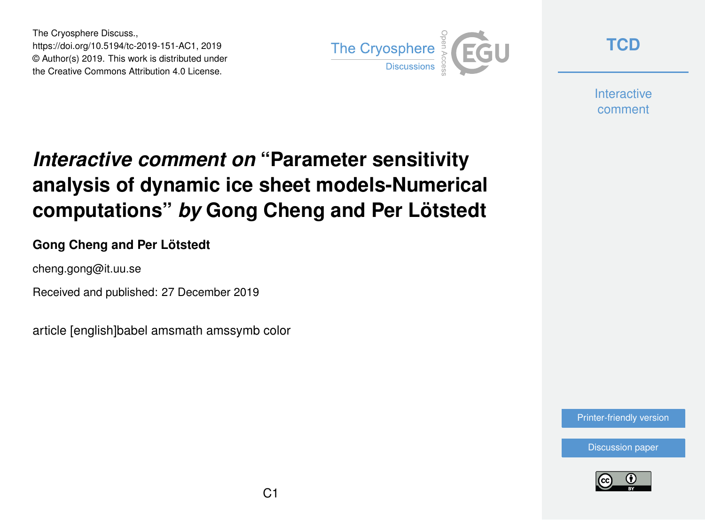The Cryosphere Discuss., https://doi.org/10.5194/tc-2019-151-AC1, 2019 © Author(s) 2019. This work is distributed under the Creative Commons Attribution 4.0 License.



**[TCD](https://www.the-cryosphere-discuss.net/)**

**Interactive** comment

# *Interactive comment on* **"Parameter sensitivity analysis of dynamic ice sheet models-Numerical computations"** *by* **Gong Cheng and Per Lötstedt**

### **Gong Cheng and Per Lötstedt**

cheng.gong@it.uu.se

Received and published: 27 December 2019

article [english]babel amsmath amssymb color

[Printer-friendly version](https://www.the-cryosphere-discuss.net/tc-2019-151/tc-2019-151-AC1-print.pdf)

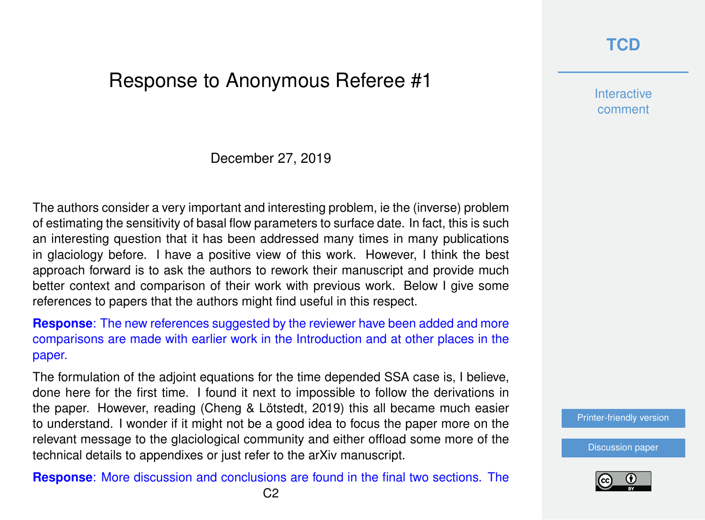## **[TCD](https://www.the-cryosphere-discuss.net/)**

## Response to Anonymous Referee #1

December 27, 2019

The authors consider a very important and interesting problem, ie the (inverse) problem of estimating the sensitivity of basal flow parameters to surface date. In fact, this is such an interesting question that it has been addressed many times in many publications in glaciology before. I have a positive view of this work. However, I think the best approach forward is to ask the authors to rework their manuscript and provide much better context and comparison of their work with previous work. Below I give some references to papers that the authors might find useful in this respect.

**Response**: The new references suggested by the reviewer have been added and more comparisons are made with earlier work in the Introduction and at other places in the paper.

The formulation of the adjoint equations for the time depended SSA case is, I believe, done here for the first time. I found it next to impossible to follow the derivations in the paper. However, reading (Cheng & Lötstedt, 2019) this all became much easier to understand. I wonder if it might not be a good idea to focus the paper more on the relevant message to the glaciological community and either offload some more of the technical details to appendixes or just refer to the arXiv manuscript.

**Response**: More discussion and conclusions are found in the final two sections. The

**Interactive** comment

[Printer-friendly version](https://www.the-cryosphere-discuss.net/tc-2019-151/tc-2019-151-AC1-print.pdf)

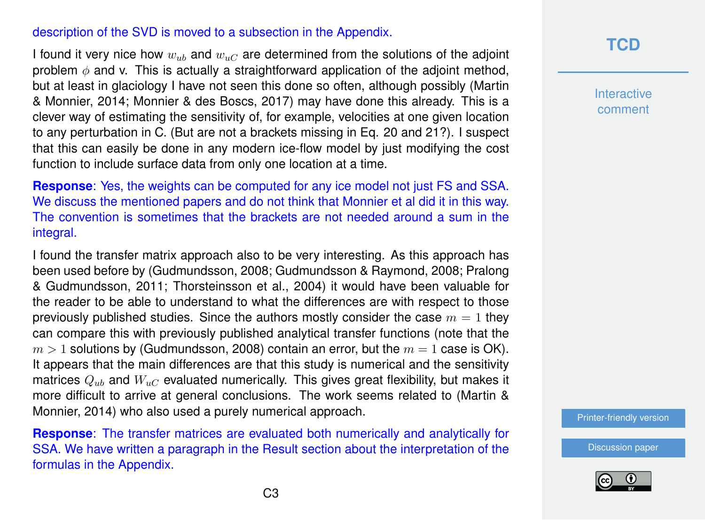#### description of the SVD is moved to a subsection in the Appendix.

I found it very nice how  $w_{ub}$  and  $w_{uc}$  are determined from the solutions of the adjoint problem  $\phi$  and v. This is actually a straightforward application of the adjoint method, but at least in glaciology I have not seen this done so often, although possibly (Martin & Monnier, 2014; Monnier & des Boscs, 2017) may have done this already. This is a clever way of estimating the sensitivity of, for example, velocities at one given location to any perturbation in C. (But are not a brackets missing in Eq. 20 and 21?). I suspect that this can easily be done in any modern ice-flow model by just modifying the cost function to include surface data from only one location at a time.

**Response**: Yes, the weights can be computed for any ice model not just FS and SSA. We discuss the mentioned papers and do not think that Monnier et al did it in this way. The convention is sometimes that the brackets are not needed around a sum in the integral.

I found the transfer matrix approach also to be very interesting. As this approach has been used before by (Gudmundsson, 2008; Gudmundsson & Raymond, 2008; Pralong & Gudmundsson, 2011; Thorsteinsson et al., 2004) it would have been valuable for the reader to be able to understand to what the differences are with respect to those previously published studies. Since the authors mostly consider the case  $m = 1$  they can compare this with previously published analytical transfer functions (note that the  $m > 1$  solutions by (Gudmundsson, 2008) contain an error, but the  $m = 1$  case is OK). It appears that the main differences are that this study is numerical and the sensitivity matrices  $Q_{ub}$  and  $W_{uc}$  evaluated numerically. This gives great flexibility, but makes it more difficult to arrive at general conclusions. The work seems related to (Martin & Monnier, 2014) who also used a purely numerical approach.

**Response**: The transfer matrices are evaluated both numerically and analytically for SSA. We have written a paragraph in the Result section about the interpretation of the formulas in the Appendix.

## **[TCD](https://www.the-cryosphere-discuss.net/)**

**Interactive** comment

[Printer-friendly version](https://www.the-cryosphere-discuss.net/tc-2019-151/tc-2019-151-AC1-print.pdf)

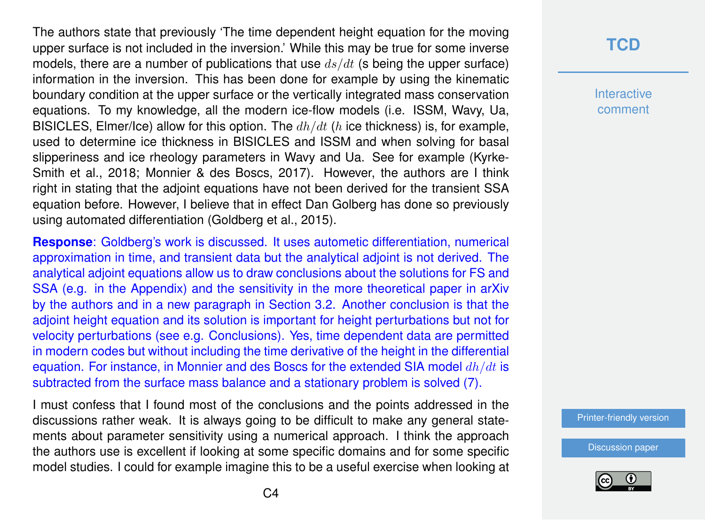The authors state that previously 'The time dependent height equation for the moving upper surface is not included in the inversion.' While this may be true for some inverse models, there are a number of publications that use  $ds/dt$  (s being the upper surface) information in the inversion. This has been done for example by using the kinematic boundary condition at the upper surface or the vertically integrated mass conservation equations. To my knowledge, all the modern ice-flow models (i.e. ISSM, Wavy, Ua, BISICLES, Elmer/Ice) allow for this option. The  $dh/dt$  (h ice thickness) is, for example, used to determine ice thickness in BISICLES and ISSM and when solving for basal slipperiness and ice rheology parameters in Wavy and Ua. See for example (Kyrke-Smith et al., 2018; Monnier & des Boscs, 2017). However, the authors are I think right in stating that the adjoint equations have not been derived for the transient SSA equation before. However, I believe that in effect Dan Golberg has done so previously using automated differentiation (Goldberg et al., 2015).

**Response**: Goldberg's work is discussed. It uses autometic differentiation, numerical approximation in time, and transient data but the analytical adjoint is not derived. The analytical adjoint equations allow us to draw conclusions about the solutions for FS and SSA (e.g. in the Appendix) and the sensitivity in the more theoretical paper in arXiv by the authors and in a new paragraph in Section 3.2. Another conclusion is that the adjoint height equation and its solution is important for height perturbations but not for velocity perturbations (see e.g. Conclusions). Yes, time dependent data are permitted in modern codes but without including the time derivative of the height in the differential equation. For instance, in Monnier and des Boscs for the extended SIA model  $dh/dt$  is subtracted from the surface mass balance and a stationary problem is solved (7).

I must confess that I found most of the conclusions and the points addressed in the discussions rather weak. It is always going to be difficult to make any general statements about parameter sensitivity using a numerical approach. I think the approach the authors use is excellent if looking at some specific domains and for some specific model studies. I could for example imagine this to be a useful exercise when looking at

## **[TCD](https://www.the-cryosphere-discuss.net/)**

**Interactive** comment

[Printer-friendly version](https://www.the-cryosphere-discuss.net/tc-2019-151/tc-2019-151-AC1-print.pdf)